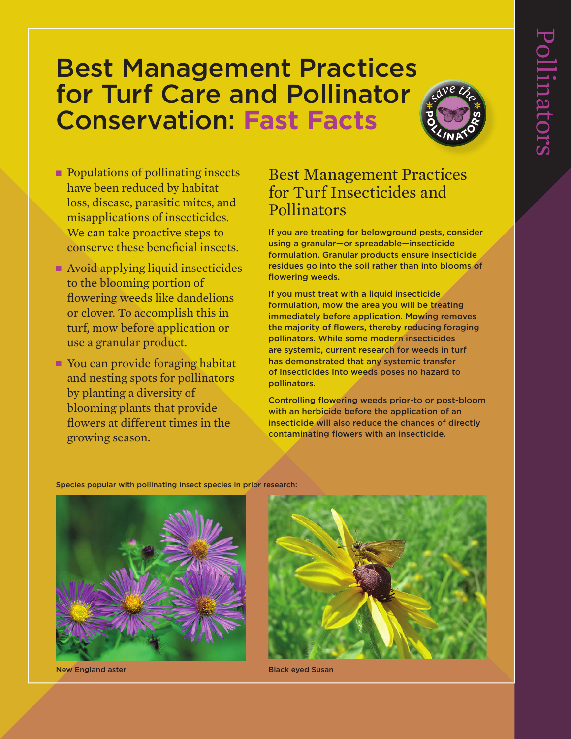# Best Management Practices for Turf Care and Pollinator Conservation: **Fast Facts**



- Populations of pollinating insects have been reduced by habitat loss, disease, parasitic mites, and misapplications of insecticides. We can take proactive steps to conserve these beneficial insects.
- Avoid applying liquid insecticides to the blooming portion of flowering weeds like dandelions or clover. To accomplish this in turf, mow before application or use a granular product.
- You can provide foraging habitat and nesting spots for pollinators by planting a diversity of blooming plants that provide flowers at different times in the growing season.

## Best Management Practices for Turf Insecticides and Pollinators

If you are treating for belowground pests, consider using a granular—or spreadable—insecticide formulation. Granular products ensure insecticide residues go into the soil rather than into blooms of flowering weeds.

If you must treat with a liquid insecticide formulation, mow the area you will be treating immediately before application. Mowing removes the majority of flowers, thereby reducing foraging pollinators. While some modern insecticides are systemic, current research for weeds in turf has demonstrated that any systemic transfer of insecticides into weeds poses no hazard to pollinators.

Controlling flowering weeds prior-to or post-bloom with an herbicide before the application of an insecticide will also reduce the chances of directly contaminating flowers with an insecticide.

Species popular with pollinating insect species in prior research:



New England aster **Black eyed Susan**